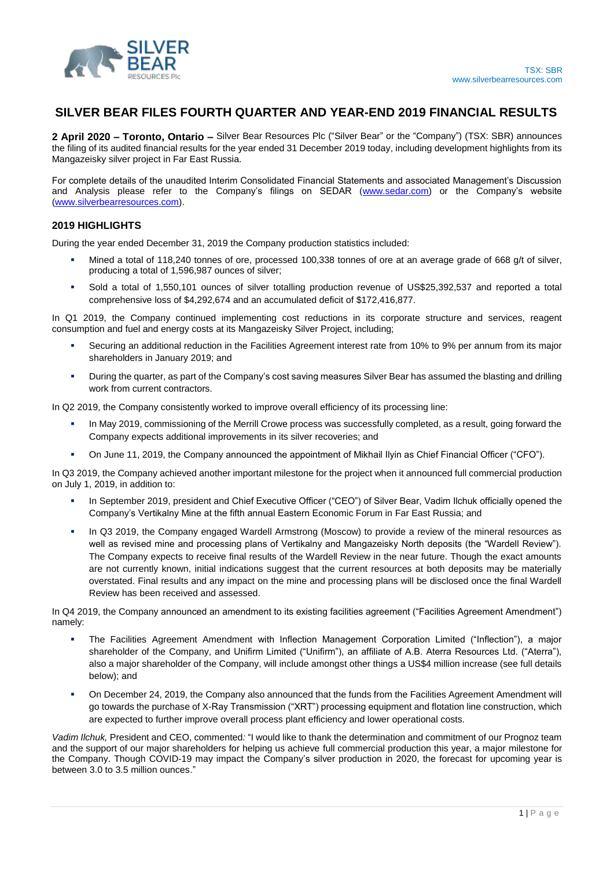

# **SILVER BEAR FILES FOURTH QUARTER AND YEAR-END 2019 FINANCIAL RESULTS**

**2 April 2020 – Toronto, Ontario –** Silver Bear Resources Plc ("Silver Bear" or the "Company") (TSX: SBR) announces the filing of its audited financial results for the year ended 31 December 2019 today, including development highlights from its Mangazeisky silver project in Far East Russia.

For complete details of the unaudited Interim Consolidated Financial Statements and associated Management's Discussion and Analysis please refer to the Company's filings on SEDAR [\(www.sedar.com\)](http://www.sedar.com/) or the Company's website [\(www.silverbearresources.com\)](http://www.silverbearresources.com/).

## **2019 HIGHLIGHTS**

During the year ended December 31, 2019 the Company production statistics included:

- Mined a total of 118,240 tonnes of ore, processed 100,338 tonnes of ore at an average grade of 668 g/t of silver, producing a total of 1,596,987 ounces of silver;
- Sold a total of 1,550,101 ounces of silver totalling production revenue of US\$25,392,537 and reported a total comprehensive loss of \$4,292,674 and an accumulated deficit of \$172,416,877.

In Q1 2019, the Company continued implementing cost reductions in its corporate structure and services, reagent consumption and fuel and energy costs at its Mangazeisky Silver Project, including;

- Securing an additional reduction in the Facilities Agreement interest rate from 10% to 9% per annum from its major shareholders in January 2019; and
- During the quarter, as part of the Company's cost saving measures Silver Bear has assumed the blasting and drilling work from current contractors.

In Q2 2019, the Company consistently worked to improve overall efficiency of its processing line:

- In May 2019, commissioning of the Merrill Crowe process was successfully completed, as a result, going forward the Company expects additional improvements in its silver recoveries; and
- On June 11, 2019, the Company announced the appointment of Mikhail Ilyin as Chief Financial Officer ("CFO").

In Q3 2019, the Company achieved another important milestone for the project when it announced full commercial production on July 1, 2019, in addition to:

- In September 2019, president and Chief Executive Officer ("CEO") of Silver Bear, Vadim Ilchuk officially opened the Company's Vertikalny Mine at the fifth annual Eastern Economic Forum in Far East Russia; and
- In Q3 2019, the Company engaged Wardell Armstrong (Moscow) to provide a review of the mineral resources as well as revised mine and processing plans of Vertikalny and Mangazeisky North deposits (the "Wardell Review"). The Company expects to receive final results of the Wardell Review in the near future. Though the exact amounts are not currently known, initial indications suggest that the current resources at both deposits may be materially overstated. Final results and any impact on the mine and processing plans will be disclosed once the final Wardell Review has been received and assessed.

In Q4 2019, the Company announced an amendment to its existing facilities agreement ("Facilities Agreement Amendment") namely:

- The Facilities Agreement Amendment with Inflection Management Corporation Limited ("Inflection"), a major shareholder of the Company, and Unifirm Limited ("Unifirm"), an affiliate of A.B. Aterra Resources Ltd. ("Aterra"), also a major shareholder of the Company, will include amongst other things a US\$4 million increase (see full details below); and
- On December 24, 2019, the Company also announced that the funds from the Facilities Agreement Amendment will go towards the purchase of X-Ray Transmission ("XRT") processing equipment and flotation line construction, which are expected to further improve overall process plant efficiency and lower operational costs.

*Vadim Ilchuk,* President and CEO, commented*:* "I would like to thank the determination and commitment of our Prognoz team and the support of our major shareholders for helping us achieve full commercial production this year, a major milestone for the Company. Though COVID-19 may impact the Company's silver production in 2020, the forecast for upcoming year is between 3.0 to 3.5 million ounces."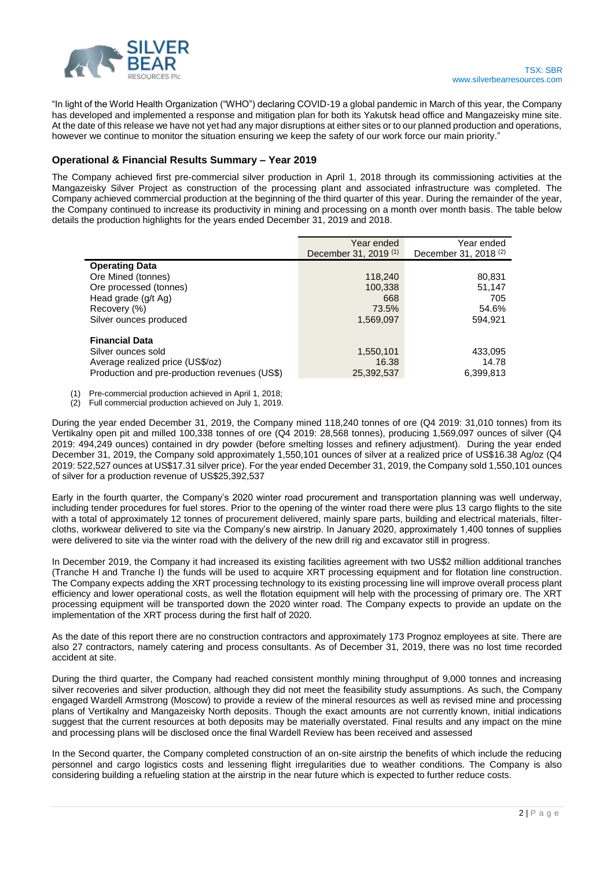

"In light of the World Health Organization ("WHO") declaring COVID-19 a global pandemic in March of this year, the Company has developed and implemented a response and mitigation plan for both its Yakutsk head office and Mangazeisky mine site. At the date of this release we have not yet had any major disruptions at either sites or to our planned production and operations, however we continue to monitor the situation ensuring we keep the safety of our work force our main priority."

## **Operational & Financial Results Summary – Year 2019**

The Company achieved first pre-commercial silver production in April 1, 2018 through its commissioning activities at the Mangazeisky Silver Project as construction of the processing plant and associated infrastructure was completed. The Company achieved commercial production at the beginning of the third quarter of this year. During the remainder of the year, the Company continued to increase its productivity in mining and processing on a month over month basis. The table below details the production highlights for the years ended December 31, 2019 and 2018.

|                                               | Year ended                       | Year ended                       |
|-----------------------------------------------|----------------------------------|----------------------------------|
|                                               | December 31, 2019 <sup>(1)</sup> | December 31, 2018 <sup>(2)</sup> |
| <b>Operating Data</b>                         |                                  |                                  |
| Ore Mined (tonnes)                            | 118,240                          | 80,831                           |
| Ore processed (tonnes)                        | 100,338                          | 51,147                           |
| Head grade (g/t Ag)                           | 668                              | 705                              |
| Recovery (%)                                  | 73.5%                            | 54.6%                            |
| Silver ounces produced                        | 1,569,097                        | 594,921                          |
|                                               |                                  |                                  |
| <b>Financial Data</b>                         |                                  |                                  |
| Silver ounces sold                            | 1,550,101                        | 433,095                          |
| Average realized price (US\$/oz)              | 16.38                            | 14.78                            |
| Production and pre-production revenues (US\$) | 25,392,537                       | 6,399,813                        |

(1) Pre-commercial production achieved in April 1, 2018;

(2) Full commercial production achieved on July 1, 2019.

During the year ended December 31, 2019, the Company mined 118,240 tonnes of ore (Q4 2019: 31,010 tonnes) from its Vertikalny open pit and milled 100,338 tonnes of ore (Q4 2019: 28,568 tonnes), producing 1,569,097 ounces of silver (Q4 2019: 494,249 ounces) contained in dry powder (before smelting losses and refinery adjustment). During the year ended December 31, 2019, the Company sold approximately 1,550,101 ounces of silver at a realized price of US\$16.38 Ag/oz (Q4 2019: 522,527 ounces at US\$17.31 silver price). For the year ended December 31, 2019, the Company sold 1,550,101 ounces of silver for a production revenue of US\$25,392,537

Early in the fourth quarter, the Company's 2020 winter road procurement and transportation planning was well underway, including tender procedures for fuel stores. Prior to the opening of the winter road there were plus 13 cargo flights to the site with a total of approximately 12 tonnes of procurement delivered, mainly spare parts, building and electrical materials, filtercloths, workwear delivered to site via the Company's new airstrip. In January 2020, approximately 1,400 tonnes of supplies were delivered to site via the winter road with the delivery of the new drill rig and excavator still in progress.

In December 2019, the Company it had increased its existing facilities agreement with two US\$2 million additional tranches (Tranche H and Tranche I) the funds will be used to acquire XRT processing equipment and for flotation line construction. The Company expects adding the XRT processing technology to its existing processing line will improve overall process plant efficiency and lower operational costs, as well the flotation equipment will help with the processing of primary ore. The XRT processing equipment will be transported down the 2020 winter road. The Company expects to provide an update on the implementation of the XRT process during the first half of 2020.

As the date of this report there are no construction contractors and approximately 173 Prognoz employees at site. There are also 27 contractors, namely catering and process consultants. As of December 31, 2019, there was no lost time recorded accident at site.

During the third quarter, the Company had reached consistent monthly mining throughput of 9,000 tonnes and increasing silver recoveries and silver production, although they did not meet the feasibility study assumptions. As such, the Company engaged Wardell Armstrong (Moscow) to provide a review of the mineral resources as well as revised mine and processing plans of Vertikalny and Mangazeisky North deposits. Though the exact amounts are not currently known, initial indications suggest that the current resources at both deposits may be materially overstated. Final results and any impact on the mine and processing plans will be disclosed once the final Wardell Review has been received and assessed

In the Second quarter, the Company completed construction of an on-site airstrip the benefits of which include the reducing personnel and cargo logistics costs and lessening flight irregularities due to weather conditions. The Company is also considering building a refueling station at the airstrip in the near future which is expected to further reduce costs.